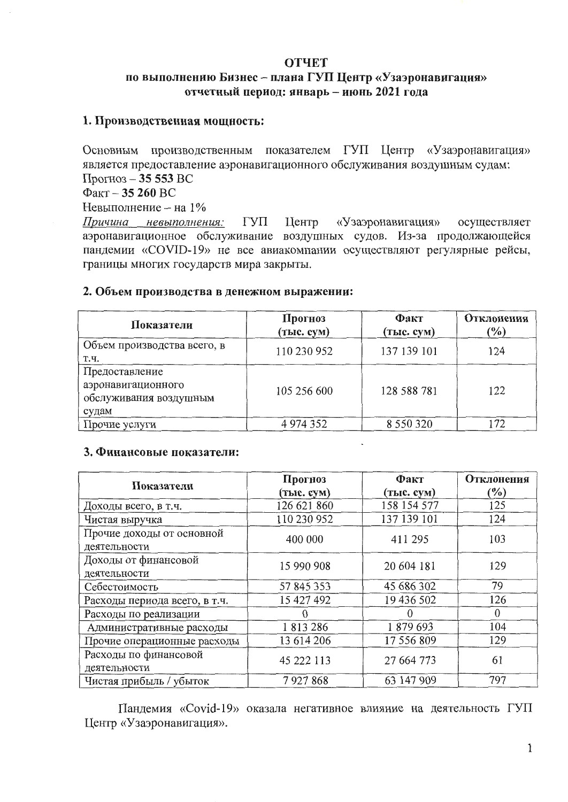# **ОТЧЕТ** по выполнению Бизнес - плана ГУП Центр «Узаэронавигация» отчетный период: январь - июнь 2021 года

# 1. Производственная мощность:

Основным производственным показателем ГУП Центр «Узаэронавигация» является предоставление аэронавигационного обслуживания воздушным судам: Прогноз - 35 553 ВС

 $\Phi$ акт – 35 260 ВС

Невыполнение - на 1%

ГУП Центр «Узаэронавигация» осуществляет Причина невыполнения: аэронавигационное обслуживание воздушных судов. Из-за продолжающейся пандемии «COVID-19» не все авиакомпании осуществляют регулярные рейсы, границы многих государств мира закрыты.

### 2. Объем производства в денежном выражении:

| Показатели                                                              | Прогноз<br>(тыс. сум) | Факт<br>(тыс. сум) | Отклонения<br>$(\%)$ |
|-------------------------------------------------------------------------|-----------------------|--------------------|----------------------|
| Объем производства всего, в<br>Т.Ч.                                     | 110 230 952           | 137 139 101        | 124                  |
| Предоставление<br>аэронавигационного<br>обслуживания воздушным<br>судам | 105 256 600           | 128 588 781        | 122                  |
| Прочие услуги                                                           | 4 974 352             | 8 5 5 0 3 2 0      | 172                  |

#### 3. Финансовые показатели:

|                               | Прогноз     | Факт        | Отклонения |  |
|-------------------------------|-------------|-------------|------------|--|
| Показатели                    | (тыс. сум)  | (тыс. сум)  | $(\%)$     |  |
| Доходы всего, в т.ч.          | 126 621 860 | 158 154 577 | 125        |  |
| Чистая выручка                | 110 230 952 | 137 139 101 | 124        |  |
| Прочие доходы от основной     | 400 000     | 411 295     | 103        |  |
| деятельности                  |             |             |            |  |
| Доходы от финансовой          | 15 990 908  | 20 604 181  | 129        |  |
| деятельности                  |             |             |            |  |
| Себестоимость                 | 57 845 353  | 45 686 302  | 79         |  |
| Расходы периода всего, в т.ч. | 15 427 492  | 19 436 502  | 126        |  |
| Расходы по реализации         |             |             | $\Omega$   |  |
| Административные расходы      | 1813286     | 1879693     | 104        |  |
| Прочие операционные расходы   | 13 614 206  | 17 556 809  | 129        |  |
| Расходы по финансовой         | 45 222 113  | 27 664 773  | 61         |  |
| деятельности                  |             |             |            |  |
| Чистая прибыль / убыток       | 7927868     | 63 147 909  | 797        |  |

Пандемия «Covid-19» оказала негативное влияние на деятельность ГУП Центр «Узаэронавигация».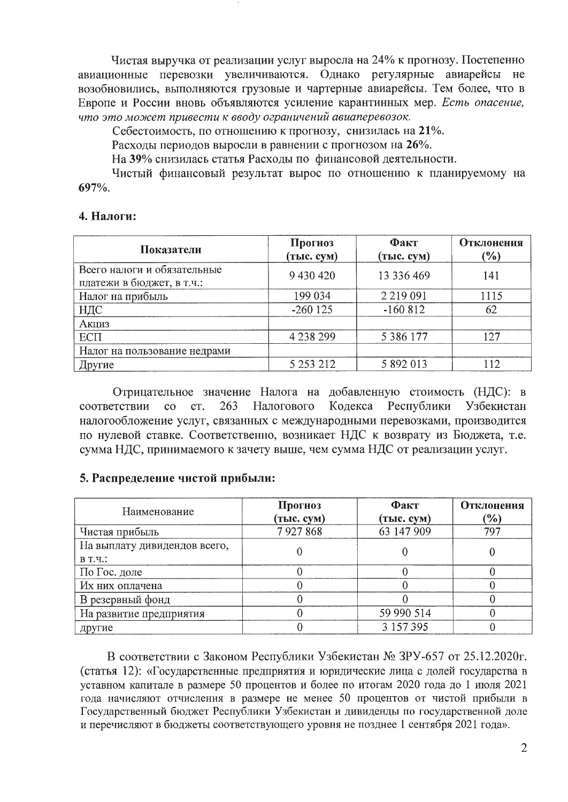Чистая выручка от реализации услуг выросла на 24% к прогнозу. Постепенно авиационные перевозки увеличиваются. Однако регулярные авиарейсы не возобновились, выполняются грузовые и чартерные авиарейсы. Тем более, что в Европе и России вновь объявляются усиление карантинных мер. Есть опасение, что это может привести к вводу ограничений авиаперевозок.

Себестоимость, по отношению к прогнозу, снизилась на 21%.

Расходы периодов выросли в равнении с прогнозом на 26%.

На 39% снизилась статья Расходы по финансовой деятельности.

Чистый финансовый результат вырос по отношению к планируемому на 697%.

#### 4. Налоги:

| Показатели                                               | Прогноз<br>(тыс. сум) | Факт<br>(тыс. сум) | Отклонения<br>$(\%)$ |
|----------------------------------------------------------|-----------------------|--------------------|----------------------|
| Всего налоги и обязательные<br>платежи в бюджет, в т.ч.: | 9 430 420             | 13 336 469         | 141                  |
| Налог на прибыль                                         | 199 034               | 2 2 1 9 0 9 1      | 1115                 |
| НДС                                                      | $-260$ 125            | $-160812$          | 62                   |
| <b>Акциз</b>                                             |                       |                    |                      |
| <b>ЕСП</b>                                               | 4 238 299             | 5 3 8 6 1 7 7      | 127                  |
| Налог на пользование недрами                             |                       |                    |                      |
| Другие                                                   | 5 253 212             | 5 892 013          | 112                  |

Отрицательное значение Налога на добавленную стоимость (НДС): в Кодекса Республики соответствии  $\overline{c}$ CT. 263 Налогового Узбекистан налогообложение услуг, связанных с международными перевозками, производится по нулевой ставке. Соответственно, возникает НДС к возврату из Бюджета, т.е. сумма НДС, принимаемого к зачету выше, чем сумма НДС от реализации услуг.

### 5. Распределение чистой прибыли:

| Наименование                                   | Прогноз<br>(тыс. сум) | Факт<br>(тыс. сум) | Отклонения<br>$( \% )$ |
|------------------------------------------------|-----------------------|--------------------|------------------------|
| Чистая прибыль                                 | 7927868               | 63 147 909         | 797                    |
| На выплату дивидендов всего,<br><b>B</b> T. Y. |                       |                    |                        |
| По Гос. доле                                   |                       |                    |                        |
| Их них оплачена                                |                       |                    |                        |
| В резервный фонд                               |                       |                    |                        |
| На развитие предприятия                        |                       | 59 990 514         |                        |
| другие                                         |                       | 3 157 395          |                        |

В соответствии с Законом Республики Узбекистан № 3РУ-657 от 25.12.2020г. (статья 12): «Государственные предприятия и юридические лица с долей государства в уставном капитале в размере 50 процентов и более по итогам 2020 года до 1 июля 2021 года начисляют отчисления в размере не менее 50 процентов от чистой прибыли в Государственный бюджет Республики Узбекистан и дивиденды по государственной доле и перечисляют в бюджеты соответствующего уровня не позднее 1 сентября 2021 года».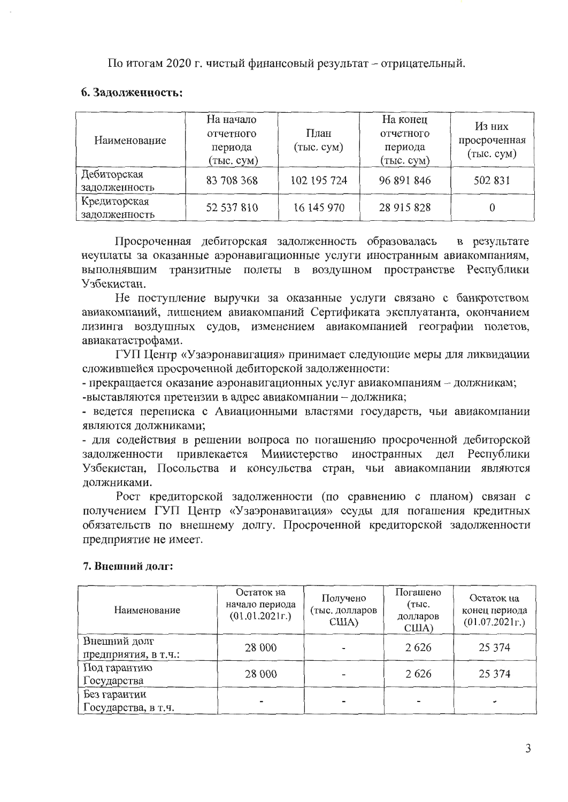По итогам 2020 г. чистый финансовый результат - отрицательный.

# 6. Задолженность:

| Наименование                  | На начало<br>отчетного<br>периода<br>(тыс. сум) | План<br>$($ TbIC. CYM $)$ | На конец<br>отчетного<br>периода<br>(тыс. сум) | Из них<br>просроченная<br>(TbIC. CYM) |
|-------------------------------|-------------------------------------------------|---------------------------|------------------------------------------------|---------------------------------------|
| Дебиторская<br>задолженность  | 83 708 368                                      | 102 195 724               | 96 891 846                                     | 502 831                               |
| Кредиторская<br>задолженность | 52 537 810                                      | 16 145 970                | 28 915 828                                     |                                       |

Просроченная дебиторская задолженность образовалась в результате неуплаты за оказанные аэронавигационные услуги иностранным авиакомпаниям, выполнявшим транзитные полеты в воздушном пространстве Республики Узбекистан.

Не поступление выручки за оказанные услуги связано с банкротством авиакомпаний, лишением авиакомпаний Сертификата эксплуатанта, окончанием лизинга воздушных судов, изменением авиакомпанией географии полетов, авиакатастрофами.

ГУП Центр «Узаэронавигация» принимает следующие меры для ликвидации сложившейся просроченной дебиторской задолженности:

- прекращается оказание аэронавигационных услуг авиакомпаниям - должникам; -выставляются претензии в адрес авиакомпании - должника;

- ведется переписка с Авиационными властями государств, чьи авиакомпании являются должниками;

- для содействия в решении вопроса по погашению просроченной дебиторской задолженности привлекается Министерство иностранных дел Республики Узбекистан, Посольства и консульства стран, чьи авиакомпании являются должниками.

Рост кредиторской задолженности (по сравнению с планом) связан с получением ГУП Центр «Узаэронавигация» ссуды для погашения кредитных обязательств по внешнему долгу. Просроченной кредиторской задолженности предприятие не имеет.

### 7. Внешний долг:

| Наименование                         | Остаток на<br>начало периода<br>(01.01.2021r.) | Получено<br>(тыс. долларов<br>CIIIA) | Погашено<br>(тыс.<br>долларов<br>CIIIA) | Остаток на<br>конец периода<br>(01.07.2021r.) |
|--------------------------------------|------------------------------------------------|--------------------------------------|-----------------------------------------|-----------------------------------------------|
| Внешний долг<br>предприятия, в т.ч.: | 28 000                                         |                                      | 2626                                    | 25 3 7 4                                      |
| Под гарантию<br>Государства          | 28 000                                         |                                      | 2626                                    | 25 3 7 4                                      |
| Без гарантии<br>Государства, в т.ч.  |                                                | -                                    |                                         |                                               |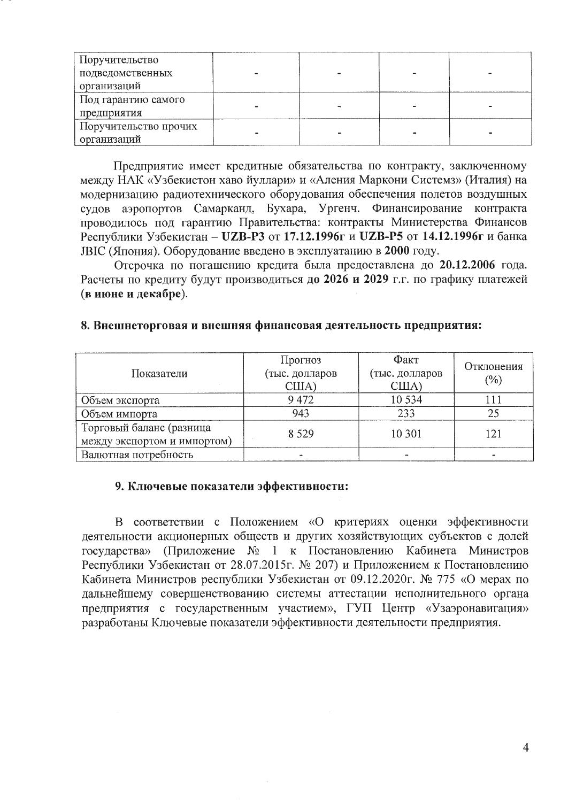| Поручительство        |  |  |
|-----------------------|--|--|
| подведомственных      |  |  |
| организаций           |  |  |
| Под гарантию самого   |  |  |
| предприятия           |  |  |
| Поручительство прочих |  |  |
| организаций           |  |  |

Предприятие имеет кредитные обязательства по контракту, заключенному между НАК «Узбекистон хаво йуллари» и «Аления Маркони Системз» (Италия) на модернизацию радиотехнического оборудования обеспечения полетов воздушных судов аэропортов Самарканд, Бухара, Ургенч. Финансирование контракта проводилось под гарантию Правительства: контракты Министерства Финансов Республики Узбекистан - UZB-P3 от 17.12.1996г и UZB-P5 от 14.12.1996г и банка ЈВІС (Япония). Оборудование введено в эксплуатацию в 2000 году.

Отсрочка по погашению кредита была предоставлена до 20.12.2006 года. Расчеты по кредиту будут производиться до 2026 и 2029 г.г. по графику платежей (в июне и декабре).

#### 8. Внешнеторговая и внешняя финансовая деятельность предприятия:

| Показатели                  | Прогноз<br>(тыс. долларов<br>CIIIA) | Факт<br>(тыс. долларов<br>CIIIA) | Отклонения<br>(%) |
|-----------------------------|-------------------------------------|----------------------------------|-------------------|
| Объем экспорта              | 9472                                | 10 534                           |                   |
| Объем импорта               | 943                                 | 233                              | 25                |
| Торговый баланс (разница    | 8 5 2 9                             | 10 301                           | 121               |
| между экспортом и импортом) |                                     |                                  |                   |
| Валютная потребность        |                                     |                                  |                   |

#### 9. Ключевые показатели эффективности:

В соответствии с Положением «О критериях оценки эффективности деятельности акционерных обществ и других хозяйствующих субъектов с долей государства» (Приложение № 1 к Постановлению Кабинета Министров Республики Узбекистан от 28.07.2015г. № 207) и Приложением к Постановлению Кабинета Министров республики Узбекистан от 09.12.2020г. № 775 «О мерах по дальнейшему совершенствованию системы аттестации исполнительного органа предприятия с государственным участием», ГУП Центр «Узаэронавигация» разработаны Ключевые показатели эффективности деятельности предприятия.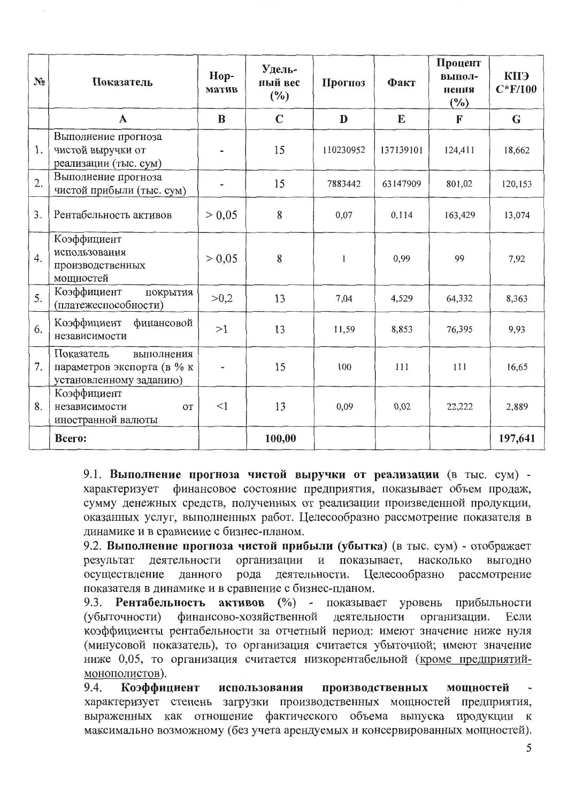| $N_2$ | Показатель                                                                        | Hop-<br>матив | Удель-<br>ный вес<br>$(\%)$ | Прогноз      | Факт      | Процент<br>выпол-<br>нения<br>(%) | КПЭ<br>$C*F/100$ |
|-------|-----------------------------------------------------------------------------------|---------------|-----------------------------|--------------|-----------|-----------------------------------|------------------|
|       | $\mathbf A$                                                                       | B             | $\mathbf C$                 | D            | E         | F                                 | $\mathbf G$      |
| 1.    | Выполнение прогноза<br>чистой выручки от<br>реализации (тыс. сум)                 |               | 15                          | 110230952    | 137139101 | 124,411                           | 18,662           |
| 2.    | Выполнение прогноза<br>чистой прибыли (тыс. сум)                                  |               | 15                          | 7883442      | 63147909  | 801,02                            | 120,153          |
| 3.    | Рентабельность активов                                                            | > 0,05        | 8                           | 0,07         | 0,114     | 163,429                           | 13,074           |
| 4.    | Коэффициент<br>использования<br>производственных<br>мощностей                     | > 0.05        | 8                           | $\mathbf{1}$ | 0,99      | 99                                | 7,92             |
| 5.    | Коэффициент<br>покрытия<br>(платежеспособности)                                   | >0,2          | 13                          | 7,04         | 4,529     | 64,332                            | 8,363            |
| 6.    | Коэффициент<br>финансовой<br>независимости                                        | >1            | 13                          | 11,59        | 8,853     | 76,395                            | 9,93             |
| 7.    | Показатель<br>выполнения<br>параметров экспорта (в % к<br>установленному заданию) |               | 15                          | 100          | 111       | 111                               | 16,65            |
| 8.    | Коэффициент<br>независимости<br><b>OT</b><br>иностранной валюты                   | <1            | 13                          | 0,09         | 0,02      | 22,222                            | 2,889            |
|       | Всего:                                                                            |               | 100,00                      |              |           |                                   | 197,641          |

9.1. Выполнение прогноза чистой выручки от реализации (в тыс. сум) характеризует финансовое состояние предприятия, показывает объем продаж, сумму денежных средств, полученных от реализации произведенной продукции, оказанных услуг, выполненных работ. Целесообразно рассмотрение показателя в динамике и в сравнение с бизнес-планом.

9.2. Выполнение прогноза чистой прибыли (убытка) (в тыс. сум) - отображает деятельности организации показывает, насколько результат  $\, {\rm N}$ выгодно осуществление рода деятельности. Целесообразно данного рассмотрение показателя в динамике и в сравнение с бизнес-планом.

активов (%) - показывает уровень 9.3. Рентабельность прибыльности финансово-хозяйственной деятельности (убыточности) организации. Если коэффициенты рентабельности за отчетный период: имеют значение ниже нуля (минусовой показатель), то организация считается убыточной; имеют значение ниже 0,05, то организация считается низкорентабельной (кроме предприятиймонополистов).

9.4. Коэффициент использования производственных мошностей характеризует степень загрузки производственных мощностей предприятия, выраженных как отношение фактического объема выпуска продукции к максимально возможному (без учета арендуемых и консервированных мощностей).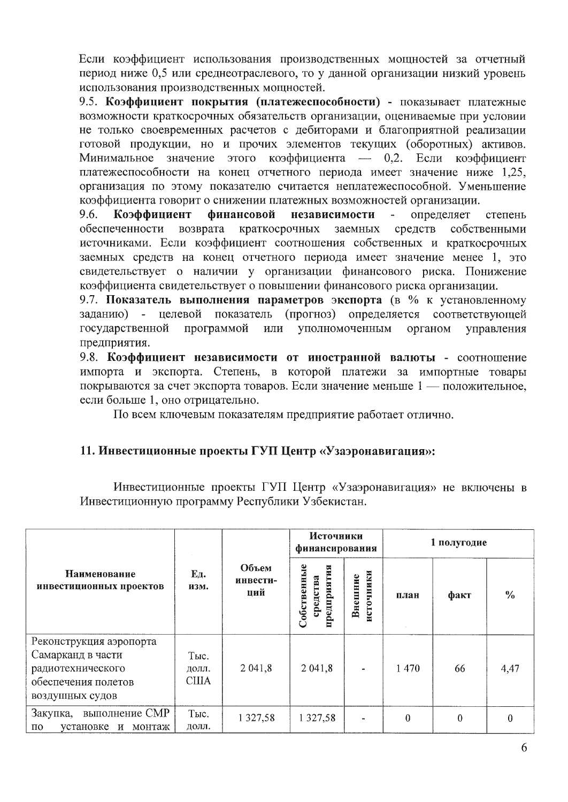Если коэффициент использования производственных мощностей за отчетный период ниже 0,5 или среднеотраслевого, то у данной организации низкий уровень использования производственных мощностей.

9.5. Коэффициент покрытия (платежеспособности) - показывает платежные возможности краткосрочных обязательств организации, оцениваемые при условии не только своевременных расчетов с дебиторами и благоприятной реализации готовой продукции, но и прочих элементов текущих (оборотных) активов. Минимальное значение этого коэффициента — 0,2. Если коэффициент платежеспособности на конец отчетного периода имеет значение ниже 1,25, организация по этому показателю считается неплатежеспособной. Уменьшение коэффициента говорит о снижении платежных возможностей организации.

9.6. Коэффициент финансовой независимости определяет степень обеспеченности возврата краткосрочных заемных средств собственными источниками. Если коэффициент соотношения собственных и краткосрочных заемных средств на конец отчетного периода имеет значение менее 1, это свидетельствует о наличии у организации финансового риска. Понижение коэффициента свидетельствует о повышении финансового риска организации.

9.7. Показатель выполнения параметров экспорта (в % к установленному заданию) - целевой показатель (прогноз) определяется соответствующей государственной программой уполномоченным или органом управления предприятия.

9.8. Коэффициент независимости от иностранной валюты - соотношение импорта и экспорта. Степень, в которой платежи за импортные товары покрываются за счет экспорта товаров. Если значение меньше 1 — положительное, если больше 1, оно отрицательно.

По всем ключевым показателям предприятие работает отлично.

# 11. Инвестиционные проекты ГУП Центр «Узаэронавигация»:

Инвестиционные проекты ГУП Центр «Узаэронавигация» не включены в Инвестиционную программу Республики Узбекистан.

|                                                                                                             |                               |                          | Источники<br>финансирования            |                                 |      | 1 полугодие |               |  |
|-------------------------------------------------------------------------------------------------------------|-------------------------------|--------------------------|----------------------------------------|---------------------------------|------|-------------|---------------|--|
| Наименование<br>инвестиционных проектов                                                                     | Ед.<br>изм.                   | Объем<br>инвести-<br>ций | Собственные<br>предприятия<br>гредства | чники<br>Внешние<br><b>HCTO</b> | план | факт        | $\frac{0}{0}$ |  |
| Реконструкция аэропорта<br>Самарканд в части<br>радиотехнического<br>обеспечения полетов<br>воздушных судов | Тыс.<br>долл.<br><b>CIIIA</b> | 2 041,8                  | 2 041,8                                | ä,                              | 1470 | 66          | 4,47          |  |
| Закупка, выполнение СМР<br>$\Pi 0$<br>установке<br>монтаж<br>И                                              | Тыс.<br>долл.                 | 1 3 2 7 , 5 8            | 1 3 2 7 , 5 8                          | $\blacksquare$                  | 0    | $\theta$    | 0             |  |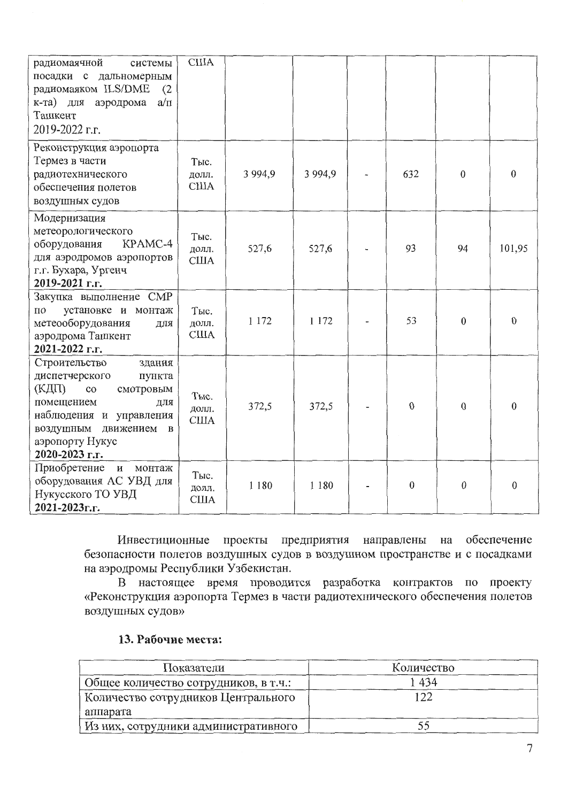| радиомаячной<br>системы<br>посадки с дальномерным<br>радиомаяком ILS/DME<br>(2)<br>$K-Ta$ )<br>ДЛЯ<br>аэродрома<br>$a/\pi$<br>Ташкент<br>2019-2022 г.г.                                                | <b>CIIIA</b>                |           |             |                  |                  |              |
|--------------------------------------------------------------------------------------------------------------------------------------------------------------------------------------------------------|-----------------------------|-----------|-------------|------------------|------------------|--------------|
| Реконструкция аэропорта<br>Термез в части<br>радиотехнического<br>обеспечения полетов<br>воздушных судов                                                                                               | Тыс.<br>долл.<br><b>США</b> | 3 9 9 4 9 | 3 9 9 4 , 9 | 632              | $\mathbf{0}$     | $\theta$     |
| Модернизация<br>метеорологического<br>оборудования<br>KPAMC-4<br>для аэродромов аэропортов<br>г.г. Бухара, Ургенч<br>2019-2021 г.г.                                                                    | Тыс.<br>долл.<br><b>США</b> | 527,6     | 527,6       | 93               | 94               | 101,95       |
| Закупка выполнение СМР<br>установке и монтаж<br>$\overline{a}$<br>метеооборудования<br>для<br>аэродрома Ташкент<br>2021-2022 г.г.                                                                      | Тыс.<br>долл.<br><b>США</b> | 1 1 7 2   | 1 1 7 2     | 53               | $\mathbf{0}$     | 0            |
| Строительство<br>здания<br>диспетчерского<br>пункта<br>(КДП)<br>смотровым<br>$_{\rm co}$<br>помещением<br>ДЛЯ<br>наблюдения и управления<br>воздушным движением в<br>аэропорту Нукус<br>2020-2023 г.г. | Тыс.<br>долл.<br>США        | 372,5     | 372,5       | $\mathbf{0}$     | $\Omega$         | $\theta$     |
| Приобретение<br>$\,$ M<br>монтаж<br>оборудования АС УВД для<br>Нукусского ТО УВД<br>2021-2023г.г.                                                                                                      | Тыс.<br>долл.<br><b>США</b> | 1 1 8 0   | 1 1 8 0     | $\boldsymbol{0}$ | $\boldsymbol{0}$ | $\mathbf{0}$ |

Инвестиционные проекты предприятия направлены на обеспечение безопасности полетов воздушных судов в воздушном пространстве и с посадками на аэродромы Республики Узбекистан.

В настоящее время проводится разработка контрактов по проекту «Реконструкция аэропорта Термез в части радиотехнического обеспечения полетов воздушных судов»

### 13. Рабочие места:

| Показатели                            | Количество |
|---------------------------------------|------------|
| Общее количество сотрудников, в т.ч.: | 434        |
| Количество сотрудников Центрального   | 122        |
| аппарата                              |            |
| Из них, сотрудники административного  |            |